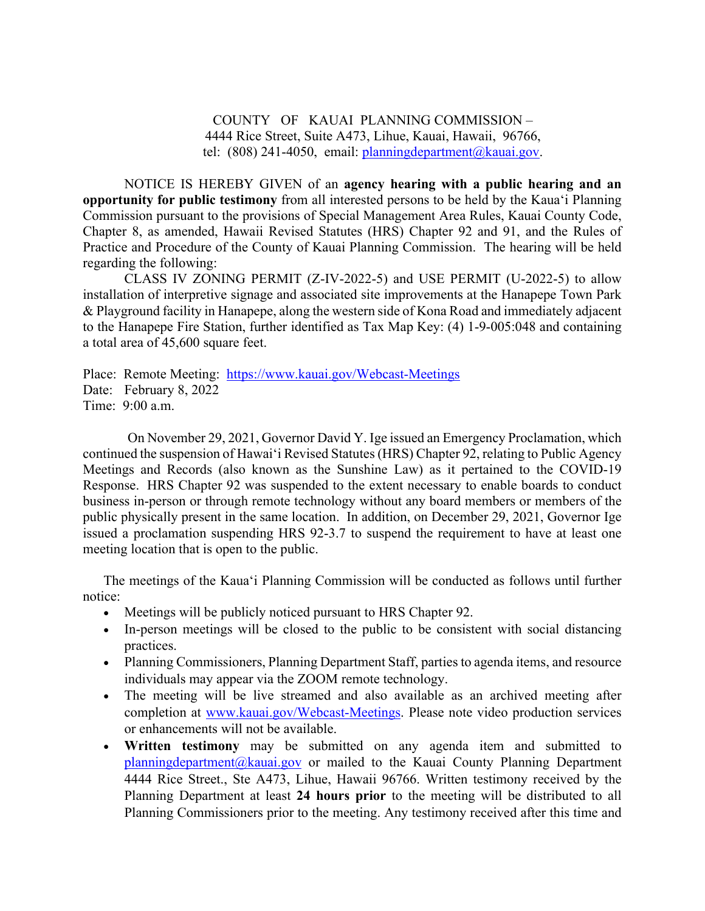COUNTY OF KAUAI PLANNING COMMISSION – 4444 Rice Street, Suite A473, Lihue, Kauai, Hawaii, 96766, tel:  $(808)$  241-4050, email: planningdepartment $@k$ kauai.gov.

NOTICE IS HEREBY GIVEN of an **agency hearing with a public hearing and an opportunity for public testimony** from all interested persons to be held by the Kaua'i Planning Commission pursuant to the provisions of Special Management Area Rules, Kauai County Code, Chapter 8, as amended, Hawaii Revised Statutes (HRS) Chapter 92 and 91, and the Rules of Practice and Procedure of the County of Kauai Planning Commission. The hearing will be held regarding the following:

CLASS IV ZONING PERMIT (Z-IV-2022-5) and USE PERMIT (U-2022-5) to allow installation of interpretive signage and associated site improvements at the Hanapepe Town Park & Playground facility in Hanapepe, along the western side of Kona Road and immediately adjacent to the Hanapepe Fire Station, further identified as Tax Map Key: (4) 1-9-005:048 and containing a total area of 45,600 square feet.

Place: Remote Meeting: <https://www.kauai.gov/Webcast-Meetings> Date: February 8, 2022 Time: 9:00 a.m.

On November 29, 2021, Governor David Y. Ige issued an Emergency Proclamation, which continued the suspension of Hawai'i Revised Statutes(HRS) Chapter 92, relating to Public Agency Meetings and Records (also known as the Sunshine Law) as it pertained to the COVID-19 Response. HRS Chapter 92 was suspended to the extent necessary to enable boards to conduct business in-person or through remote technology without any board members or members of the public physically present in the same location. In addition, on December 29, 2021, Governor Ige issued a proclamation suspending HRS 92-3.7 to suspend the requirement to have at least one meeting location that is open to the public.

The meetings of the Kaua'i Planning Commission will be conducted as follows until further notice:

- Meetings will be publicly noticed pursuant to HRS Chapter 92.
- In-person meetings will be closed to the public to be consistent with social distancing practices.
- Planning Commissioners, Planning Department Staff, parties to agenda items, and resource individuals may appear via the ZOOM remote technology.
- The meeting will be live streamed and also available as an archived meeting after completion at [www.kauai.gov/Webcast-Meetings.](http://www.kauai.gov/Webcast-Meetings) Please note video production services or enhancements will not be available.
- **Written testimony** may be submitted on any agenda item and submitted to [planningdepartment@kauai.gov](mailto:planningdepartment@kauai.gov) or mailed to the Kauai County Planning Department 4444 Rice Street., Ste A473, Lihue, Hawaii 96766. Written testimony received by the Planning Department at least **24 hours prior** to the meeting will be distributed to all Planning Commissioners prior to the meeting. Any testimony received after this time and